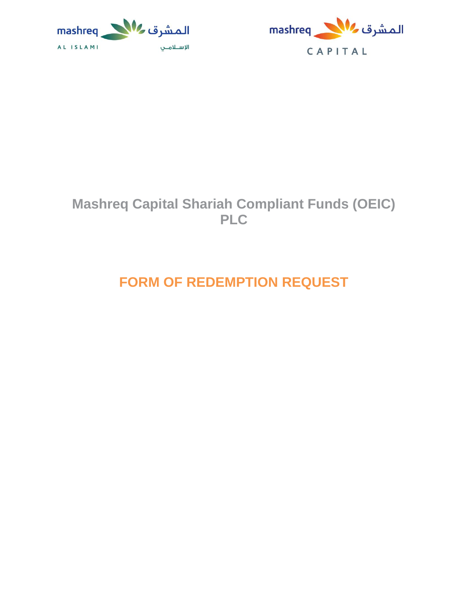



## **Mashreq Capital Shariah Compliant Funds (OEIC) PLC**

# **FORM OF REDEMPTION REQUEST**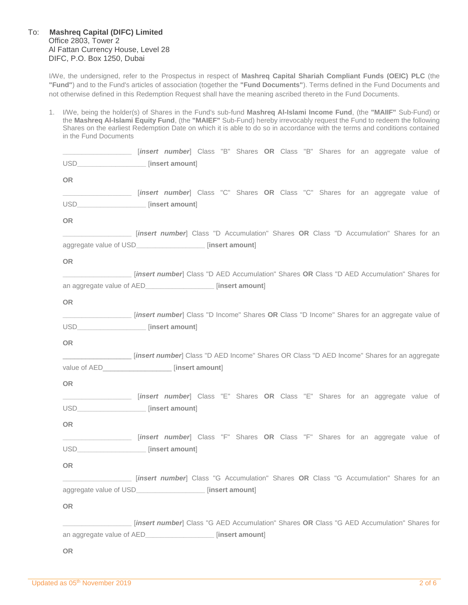#### To: **Mashreq Capital (DIFC) Limited** Office 2803, Tower 2 Al Fattan Currency House, Level 28 DIFC, P.O. Box 1250, Dubai

I/We, the undersigned, refer to the Prospectus in respect of **Mashreq Capital Shariah Compliant Funds (OEIC) PLC** (the **"Fund"**) and to the Fund's articles of association (together the **"Fund Documents"**). Terms defined in the Fund Documents and not otherwise defined in this Redemption Request shall have the meaning ascribed thereto in the Fund Documents.

1. I/We, being the holder(s) of Shares in the Fund's sub-fund **Mashreq Al-Islami Income Fund**, (the **"MAIIF"** Sub-Fund) or the **Mashreq Al-Islami Equity Fund**, (the **"MAIEF"** Sub-Fund) hereby irrevocably request the Fund to redeem the following Shares on the earliest Redemption Date on which it is able to do so in accordance with the terms and conditions contained in the Fund Documents

|                                          | [insert number] Class "B" Shares OR Class "B" Shares for an aggregate value of [13] ________________              |
|------------------------------------------|-------------------------------------------------------------------------------------------------------------------|
| USD___________________ [insert amount]   |                                                                                                                   |
| OR.                                      |                                                                                                                   |
|                                          | [insert number] Class "C" Shares OR Class "C" Shares for an aggregate value of                                    |
| USD____________________ [insert amount]  |                                                                                                                   |
| <b>OR</b>                                |                                                                                                                   |
|                                          | [insert number] Class "D Accumulation" Shares OR Class "D Accumulation" Shares for an                             |
|                                          | aggregate value of USD_________________ [insert amount]                                                           |
| OR.                                      |                                                                                                                   |
|                                          | ______________________ [insert number] Class "D AED Accumulation" Shares OR Class "D AED Accumulation" Shares for |
|                                          | an aggregate value of AED___________________ [insert amount]                                                      |
| OR                                       |                                                                                                                   |
|                                          | [insert number] Class "D Income" Shares OR Class "D Income" Shares for an aggregate value of                      |
| USD____________________ [insert amount]  |                                                                                                                   |
| <b>OR</b>                                |                                                                                                                   |
|                                          | [insert number] Class "D AED Income" Shares OR Class "D AED Income" Shares for an aggregate                       |
|                                          | value of AED____________________ [insert amount]                                                                  |
| OR                                       |                                                                                                                   |
|                                          | _________________________ [insert number] Class "E" Shares OR Class "E" Shares for an aggregate value of          |
| USD_____________________ [insert amount] |                                                                                                                   |
| <b>OR</b>                                |                                                                                                                   |
|                                          | _________________________ [ <i>insert number</i> ] Class "F" Shares OR Class "F" Shares for an aggregate value of |
| USD____________________ [insert amount]  |                                                                                                                   |
| OR                                       |                                                                                                                   |
|                                          | [insert number] Class "G Accumulation" Shares OR Class "G Accumulation" Shares for an                             |
|                                          | aggregate value of USD__________________ [insert amount]                                                          |
| <b>OR</b>                                |                                                                                                                   |
|                                          | [insert number] Class "G AED Accumulation" Shares OR Class "G AED Accumulation" Shares for                        |
|                                          | an aggregate value of AED________________________ [insert amount]                                                 |
| <b>OR</b>                                |                                                                                                                   |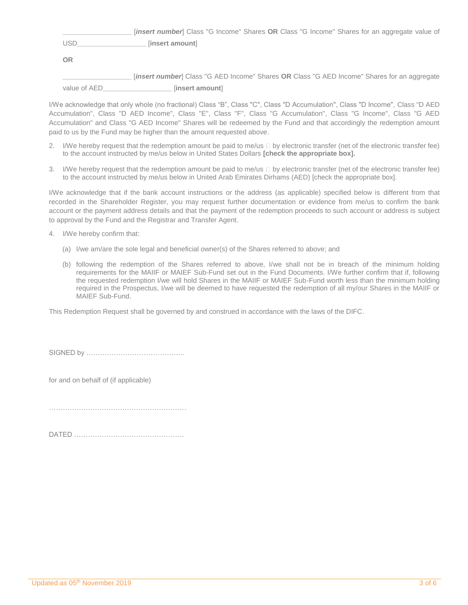**\_\_\_\_\_\_\_\_\_\_\_\_\_\_\_\_\_\_** [*insert number*] Class "G Income" Shares **OR** Class "G Income" Shares for an aggregate value of USD**\_\_\_\_\_\_\_\_\_\_\_\_\_\_\_\_\_\_** [**insert amount**]

**OR**

**\_\_\_\_\_\_\_\_\_\_\_\_\_\_\_\_\_\_** [*insert number*] Class "G AED Income" Shares **OR** Class "G AED Income" Shares for an aggregate value of AED**\_\_\_\_\_\_\_\_\_\_\_\_\_\_\_\_\_\_** [**insert amount**]

I/We acknowledge that only whole (no fractional) Class "B", Class "C", Class "D Accumulation", Class "D Income", Class "D AED Accumulation", Class "D AED Income", Class "E", Class "F", Class "G Accumulation", Class "G Income", Class "G AED Accumulation" and Class "G AED Income" Shares will be redeemed by the Fund and that accordingly the redemption amount paid to us by the Fund may be higher than the amount requested above.

- 2. I/We hereby request that the redemption amount be paid to me/us  $\Box$  by electronic transfer (net of the electronic transfer fee) to the account instructed by me/us below in United States Dollars **[check the appropriate box].**
- 3. I/We hereby request that the redemption amount be paid to me/us  $\Box$  by electronic transfer (net of the electronic transfer fee) to the account instructed by me/us below in United Arab Emirates Dirhams (AED) [check the appropriate box].

I/We acknowledge that if the bank account instructions or the address (as applicable) specified below is different from that recorded in the Shareholder Register, you may request further documentation or evidence from me/us to confirm the bank account or the payment address details and that the payment of the redemption proceeds to such account or address is subject to approval by the Fund and the Registrar and Transfer Agent.

- 4. I/We hereby confirm that:
	- (a) I/we am/are the sole legal and beneficial owner(s) of the Shares referred to above; and
	- (b) following the redemption of the Shares referred to above, I/we shall not be in breach of the minimum holding requirements for the MAIIF or MAIEF Sub-Fund set out in the Fund Documents. I/We further confirm that if, following the requested redemption I/we will hold Shares in the MAIIF or MAIEF Sub-Fund worth less than the minimum holding required in the Prospectus, I/we will be deemed to have requested the redemption of all my/our Shares in the MAIIF or MAIEF Sub-Fund.

This Redemption Request shall be governed by and construed in accordance with the laws of the DIFC.

SIGNED by …………………………………….

for and on behalf of (if applicable)

DATED …………………………………………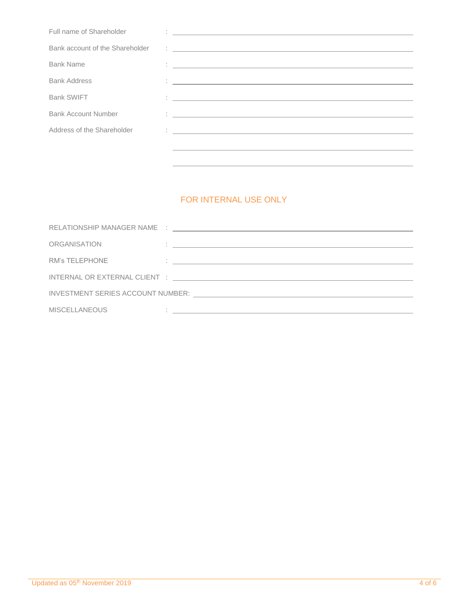| Full name of Shareholder        | <u> 1989 - Andrea Stadt Britain, fransk politik amerikansk politik (d. 1989)</u>                                                                                                                                                                                                                                                                                                                                                    |
|---------------------------------|-------------------------------------------------------------------------------------------------------------------------------------------------------------------------------------------------------------------------------------------------------------------------------------------------------------------------------------------------------------------------------------------------------------------------------------|
| Bank account of the Shareholder | $\frac{1}{2} \left( \frac{1}{\sqrt{2}} \frac{1}{\sqrt{2}} \frac{1}{\sqrt{2}} \frac{1}{\sqrt{2}} \frac{1}{\sqrt{2}} \frac{1}{\sqrt{2}} \frac{1}{\sqrt{2}} \frac{1}{\sqrt{2}} \frac{1}{\sqrt{2}} \frac{1}{\sqrt{2}} \frac{1}{\sqrt{2}} \frac{1}{\sqrt{2}} \frac{1}{\sqrt{2}} \frac{1}{\sqrt{2}} \frac{1}{\sqrt{2}} \frac{1}{\sqrt{2}} \frac{1}{\sqrt{2}} \frac{1}{\sqrt{2}} \frac{1}{\sqrt{2}} \frac{1}{\sqrt{2}} \frac{1}{\sqrt{2}}$ |
| <b>Bank Name</b>                | <u> 1986 - Jan Alexandria (h. 1986).</u><br>1905 - Johann Barnett, fransk politik (h. 1906).                                                                                                                                                                                                                                                                                                                                        |
| <b>Bank Address</b>             | <u> Alexandria de la contrada de la contrada de la contrada de la contrada de la contrada de la contrada de la c</u>                                                                                                                                                                                                                                                                                                                |
| <b>Bank SWIFT</b>               | <u> 1986 - Johann Stein, fransk politiker (d. 1987)</u>                                                                                                                                                                                                                                                                                                                                                                             |
| <b>Bank Account Number</b>      | 1. 이 사이 시간 시간이 있는 것이 아니라 이 사이 사이 사이 사이 사이 사이 사이 시간이 있다.                                                                                                                                                                                                                                                                                                                                                                             |
| Address of the Shareholder      | <u> 1986 - Johann John Stein, markin film ar yn y brenin y brenin y brenin y brenin y brenin y brenin y brenin y</u>                                                                                                                                                                                                                                                                                                                |
|                                 |                                                                                                                                                                                                                                                                                                                                                                                                                                     |
|                                 |                                                                                                                                                                                                                                                                                                                                                                                                                                     |

### FOR INTERNAL USE ONLY

| ORGANISATION         | and the control of the control of the control of the control of the control of the control of the control of the       |  |  |  |
|----------------------|------------------------------------------------------------------------------------------------------------------------|--|--|--|
| RM's TELEPHONE       | <u> 2008 - Andrea Andrew American American American American American American American American American American</u> |  |  |  |
|                      |                                                                                                                        |  |  |  |
|                      |                                                                                                                        |  |  |  |
| <b>MISCELLANEOUS</b> | <u> 1980 - Antonio Alemania, prima postala de la contrada de la contrada de la contrada de la contrada de la con</u>   |  |  |  |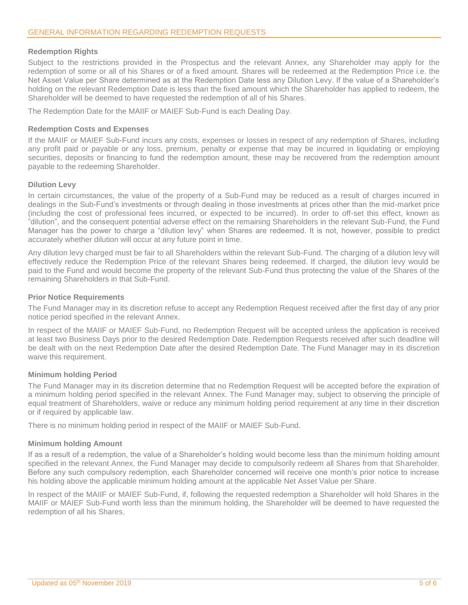#### **Redemption Rights**

Subject to the restrictions provided in the Prospectus and the relevant Annex, any Shareholder may apply for the redemption of some or all of his Shares or of a fixed amount. Shares will be redeemed at the Redemption Price i.e. the Net Asset Value per Share determined as at the Redemption Date less any Dilution Levy. If the value of a Shareholder's holding on the relevant Redemption Date is less than the fixed amount which the Shareholder has applied to redeem, the Shareholder will be deemed to have requested the redemption of all of his Shares.

The Redemption Date for the MAIIF or MAIEF Sub-Fund is each Dealing Day.

#### **Redemption Costs and Expenses**

If the MAIIF or MAIEF Sub-Fund incurs any costs, expenses or losses in respect of any redemption of Shares, including any profit paid or payable or any loss, premium, penalty or expense that may be incurred in liquidating or employing securities, deposits or financing to fund the redemption amount, these may be recovered from the redemption amount payable to the redeeming Shareholder.

#### **Dilution Levy**

In certain circumstances, the value of the property of a Sub-Fund may be reduced as a result of charges incurred in dealings in the Sub-Fund's investments or through dealing in those investments at prices other than the mid-market price (including the cost of professional fees incurred, or expected to be incurred). In order to off-set this effect, known as "dilution", and the consequent potential adverse effect on the remaining Shareholders in the relevant Sub-Fund, the Fund Manager has the power to charge a "dilution levy" when Shares are redeemed. It is not, however, possible to predict accurately whether dilution will occur at any future point in time.

Any dilution levy charged must be fair to all Shareholders within the relevant Sub-Fund. The charging of a dilution levy will effectively reduce the Redemption Price of the relevant Shares being redeemed. If charged, the dilution levy would be paid to the Fund and would become the property of the relevant Sub-Fund thus protecting the value of the Shares of the remaining Shareholders in that Sub-Fund.

#### **Prior Notice Requirements**

The Fund Manager may in its discretion refuse to accept any Redemption Request received after the first day of any prior notice period specified in the relevant Annex.

In respect of the MAIIF or MAIEF Sub-Fund, no Redemption Request will be accepted unless the application is received at least two Business Days prior to the desired Redemption Date. Redemption Requests received after such deadline will be dealt with on the next Redemption Date after the desired Redemption Date. The Fund Manager may in its discretion waive this requirement.

#### **Minimum holding Period**

The Fund Manager may in its discretion determine that no Redemption Request will be accepted before the expiration of a minimum holding period specified in the relevant Annex. The Fund Manager may, subject to observing the principle of equal treatment of Shareholders, waive or reduce any minimum holding period requirement at any time in their discretion or if required by applicable law.

There is no minimum holding period in respect of the MAIIF or MAIEF Sub-Fund.

#### **Minimum holding Amount**

If as a result of a redemption, the value of a Shareholder's holding would become less than the minimum holding amount specified in the relevant Annex, the Fund Manager may decide to compulsorily redeem all Shares from that Shareholder. Before any such compulsory redemption, each Shareholder concerned will receive one month's prior notice to increase his holding above the applicable minimum holding amount at the applicable Net Asset Value per Share.

In respect of the MAIIF or MAIEF Sub-Fund, if, following the requested redemption a Shareholder will hold Shares in the MAIIF or MAIEF Sub-Fund worth less than the minimum holding, the Shareholder will be deemed to have requested the redemption of all his Shares.